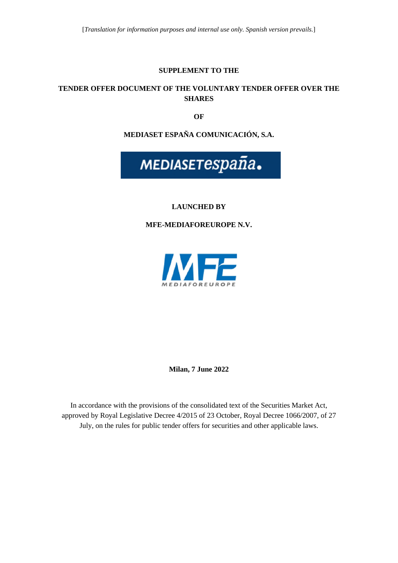#### **SUPPLEMENT TO THE**

#### **TENDER OFFER DOCUMENT OF THE VOLUNTARY TENDER OFFER OVER THE SHARES**

**OF** 

**MEDIASET ESPAÑA COMUNICACIÓN, S.A.** 



## **LAUNCHED BY**

**MFE-MEDIAFOREUROPE N.V.** 



**Milan, 7 June 2022** 

In accordance with the provisions of the consolidated text of the Securities Market Act, approved by Royal Legislative Decree 4/2015 of 23 October, Royal Decree 1066/2007, of 27 July, on the rules for public tender offers for securities and other applicable laws.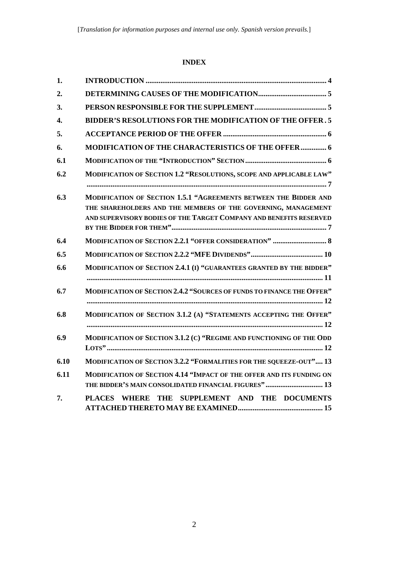# **INDEX**

| 1.   |                                                                                                                                                                                                         |
|------|---------------------------------------------------------------------------------------------------------------------------------------------------------------------------------------------------------|
| 2.   |                                                                                                                                                                                                         |
| 3.   |                                                                                                                                                                                                         |
| 4.   | <b>BIDDER'S RESOLUTIONS FOR THE MODIFICATION OF THE OFFER. 5</b>                                                                                                                                        |
| 5.   |                                                                                                                                                                                                         |
| 6.   | <b>MODIFICATION OF THE CHARACTERISTICS OF THE OFFER  6</b>                                                                                                                                              |
| 6.1  |                                                                                                                                                                                                         |
| 6.2  | MODIFICATION OF SECTION 1.2 "RESOLUTIONS, SCOPE AND APPLICABLE LAW"                                                                                                                                     |
| 6.3  | MODIFICATION OF SECTION 1.5.1 "AGREEMENTS BETWEEN THE BIDDER AND<br>THE SHAREHOLDERS AND THE MEMBERS OF THE GOVERNING, MANAGEMENT<br>AND SUPERVISORY BODIES OF THE TARGET COMPANY AND BENEFITS RESERVED |
| 6.4  | MODIFICATION OF SECTION 2.2.1 "OFFER CONSIDERATION"  8                                                                                                                                                  |
| 6.5  |                                                                                                                                                                                                         |
| 6.6  | MODIFICATION OF SECTION 2.4.1 (I) "GUARANTEES GRANTED BY THE BIDDER"                                                                                                                                    |
| 6.7  | MODIFICATION OF SECTION 2.4.2 "SOURCES OF FUNDS TO FINANCE THE OFFER"                                                                                                                                   |
| 6.8  | MODIFICATION OF SECTION 3.1.2 (A) "STATEMENTS ACCEPTING THE OFFER"                                                                                                                                      |
| 6.9  | MODIFICATION OF SECTION 3.1.2 (C) "REGIME AND FUNCTIONING OF THE ODD                                                                                                                                    |
| 6.10 | MODIFICATION OF SECTION 3.2.2 "FORMALITIES FOR THE SQUEEZE-OUT" 13                                                                                                                                      |
| 6.11 | MODIFICATION OF SECTION 4.14 "IMPACT OF THE OFFER AND ITS FUNDING ON<br>THE BIDDER'S MAIN CONSOLIDATED FINANCIAL FIGURES"  13                                                                           |
| 7.   | PLACES WHERE THE SUPPLEMENT AND THE DOCUMENTS                                                                                                                                                           |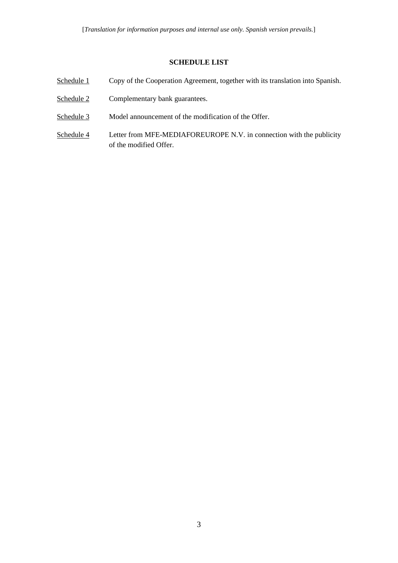## **SCHEDULE LIST**

- Schedule 1 Copy of the Cooperation Agreement, together with its translation into Spanish.
- Schedule 2 Complementary bank guarantees.
- Schedule 3 Model announcement of the modification of the Offer.
- Schedule 4 Letter from MFE-MEDIAFOREUROPE N.V. in connection with the publicity of the modified Offer.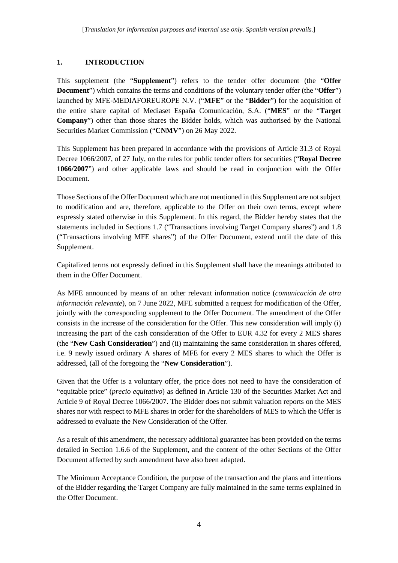# <span id="page-3-0"></span>**1. INTRODUCTION**

This supplement (the "**Supplement**") refers to the tender offer document (the "**Offer Document**") which contains the terms and conditions of the voluntary tender offer (the "**Offer**") launched by MFE-MEDIAFOREUROPE N.V. ("**MFE**" or the "**Bidder**") for the acquisition of the entire share capital of Mediaset España Comunicación, S.A. ("**MES**" or the "**Target Company**") other than those shares the Bidder holds, which was authorised by the National Securities Market Commission ("**CNMV**") on 26 May 2022.

This Supplement has been prepared in accordance with the provisions of Article 31.3 of Royal Decree 1066/2007, of 27 July, on the rules for public tender offers for securities ("**Royal Decree 1066/2007**") and other applicable laws and should be read in conjunction with the Offer Document.

Those Sections of the Offer Document which are not mentioned in this Supplement are not subject to modification and are, therefore, applicable to the Offer on their own terms, except where expressly stated otherwise in this Supplement. In this regard, the Bidder hereby states that the statements included in Sections 1.7 ("Transactions involving Target Company shares") and 1.8 ("Transactions involving MFE shares") of the Offer Document, extend until the date of this Supplement.

Capitalized terms not expressly defined in this Supplement shall have the meanings attributed to them in the Offer Document.

As MFE announced by means of an other relevant information notice (*comunicación de otra información relevante*), on 7 June 2022, MFE submitted a request for modification of the Offer, jointly with the corresponding supplement to the Offer Document. The amendment of the Offer consists in the increase of the consideration for the Offer. This new consideration will imply (i) increasing the part of the cash consideration of the Offer to EUR 4.32 for every 2 MES shares (the "**New Cash Consideration**") and (ii) maintaining the same consideration in shares offered, i.e. 9 newly issued ordinary A shares of MFE for every 2 MES shares to which the Offer is addressed, (all of the foregoing the "**New Consideration**").

Given that the Offer is a voluntary offer, the price does not need to have the consideration of "equitable price" (*precio equitativo*) as defined in Article 130 of the Securities Market Act and Article 9 of Royal Decree 1066/2007. The Bidder does not submit valuation reports on the MES shares nor with respect to MFE shares in order for the shareholders of MES to which the Offer is addressed to evaluate the New Consideration of the Offer.

As a result of this amendment, the necessary additional guarantee has been provided on the terms detailed in Section [1.6.6](#page-10-0) of the Supplement, and the content of the other Sections of the Offer Document affected by such amendment have also been adapted.

The Minimum Acceptance Condition, the purpose of the transaction and the plans and intentions of the Bidder regarding the Target Company are fully maintained in the same terms explained in the Offer Document.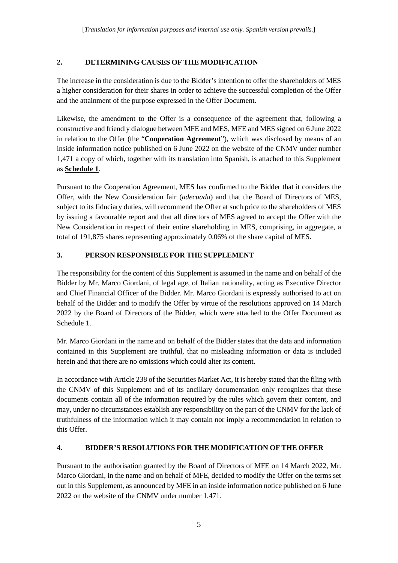# <span id="page-4-0"></span>**2. DETERMINING CAUSES OF THE MODIFICATION**

The increase in the consideration is due to the Bidder's intention to offer the shareholders of MES a higher consideration for their shares in order to achieve the successful completion of the Offer and the attainment of the purpose expressed in the Offer Document.

Likewise, the amendment to the Offer is a consequence of the agreement that, following a constructive and friendly dialogue between MFE and MES, MFE and MES signed on 6 June 2022 in relation to the Offer (the "**Cooperation Agreement**"), which was disclosed by means of an inside information notice published on 6 June 2022 on the website of the CNMV under number 1,471 a copy of which, together with its translation into Spanish, is attached to this Supplement as **Schedule 1**.

Pursuant to the Cooperation Agreement, MES has confirmed to the Bidder that it considers the Offer, with the New Consideration fair (*adecuada*) and that the Board of Directors of MES, subject to its fiduciary duties, will recommend the Offer at such price to the shareholders of MES by issuing a favourable report and that all directors of MES agreed to accept the Offer with the New Consideration in respect of their entire shareholding in MES, comprising, in aggregate, a total of 191,875 shares representing approximately 0.06% of the share capital of MES.

# <span id="page-4-1"></span>**3. PERSON RESPONSIBLE FOR THE SUPPLEMENT**

The responsibility for the content of this Supplement is assumed in the name and on behalf of the Bidder by Mr. Marco Giordani, of legal age, of Italian nationality, acting as Executive Director and Chief Financial Officer of the Bidder. Mr. Marco Giordani is expressly authorised to act on behalf of the Bidder and to modify the Offer by virtue of the resolutions approved on 14 March 2022 by the Board of Directors of the Bidder, which were attached to the Offer Document as Schedule 1.

Mr. Marco Giordani in the name and on behalf of the Bidder states that the data and information contained in this Supplement are truthful, that no misleading information or data is included herein and that there are no omissions which could alter its content.

In accordance with Article 238 of the Securities Market Act, it is hereby stated that the filing with the CNMV of this Supplement and of its ancillary documentation only recognizes that these documents contain all of the information required by the rules which govern their content, and may, under no circumstances establish any responsibility on the part of the CNMV for the lack of truthfulness of the information which it may contain nor imply a recommendation in relation to this Offer.

# <span id="page-4-2"></span>**4. BIDDER'S RESOLUTIONS FOR THE MODIFICATION OF THE OFFER**

Pursuant to the authorisation granted by the Board of Directors of MFE on 14 March 2022, Mr. Marco Giordani, in the name and on behalf of MFE, decided to modify the Offer on the terms set out in this Supplement, as announced by MFE in an inside information notice published on 6 June 2022 on the website of the CNMV under number 1,471.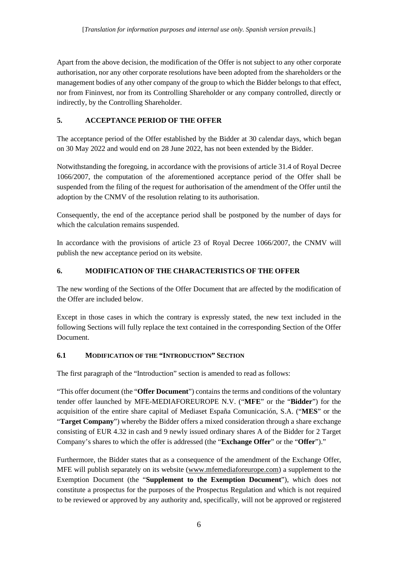Apart from the above decision, the modification of the Offer is not subject to any other corporate authorisation, nor any other corporate resolutions have been adopted from the shareholders or the management bodies of any other company of the group to which the Bidder belongs to that effect, nor from Fininvest, nor from its Controlling Shareholder or any company controlled, directly or indirectly, by the Controlling Shareholder.

# <span id="page-5-0"></span>**5. ACCEPTANCE PERIOD OF THE OFFER**

The acceptance period of the Offer established by the Bidder at 30 calendar days, which began on 30 May 2022 and would end on 28 June 2022, has not been extended by the Bidder.

Notwithstanding the foregoing, in accordance with the provisions of article 31.4 of Royal Decree 1066/2007, the computation of the aforementioned acceptance period of the Offer shall be suspended from the filing of the request for authorisation of the amendment of the Offer until the adoption by the CNMV of the resolution relating to its authorisation.

Consequently, the end of the acceptance period shall be postponed by the number of days for which the calculation remains suspended.

In accordance with the provisions of article 23 of Royal Decree 1066/2007, the CNMV will publish the new acceptance period on its website.

# <span id="page-5-1"></span>**6. MODIFICATION OF THE CHARACTERISTICS OF THE OFFER**

The new wording of the Sections of the Offer Document that are affected by the modification of the Offer are included below.

Except in those cases in which the contrary is expressly stated, the new text included in the following Sections will fully replace the text contained in the corresponding Section of the Offer Document.

# <span id="page-5-2"></span>**6.1 MODIFICATION OF THE "INTRODUCTION" SECTION**

The first paragraph of the "Introduction" section is amended to read as follows:

"This offer document (the "**Offer Document**") contains the terms and conditions of the voluntary tender offer launched by MFE-MEDIAFOREUROPE N.V. ("**MFE**" or the "**Bidder**") for the acquisition of the entire share capital of Mediaset España Comunicación, S.A. ("**MES**" or the "**Target Company**") whereby the Bidder offers a mixed consideration through a share exchange consisting of EUR 4.32 in cash and 9 newly issued ordinary shares A of the Bidder for 2 Target Company's shares to which the offer is addressed (the "**Exchange Offer**" or the "**Offer**")."

Furthermore, the Bidder states that as a consequence of the amendment of the Exchange Offer, MFE will publish separately on its website (www.mfemediaforeurope.com) a supplement to the Exemption Document (the "**Supplement to the Exemption Document**"), which does not constitute a prospectus for the purposes of the Prospectus Regulation and which is not required to be reviewed or approved by any authority and, specifically, will not be approved or registered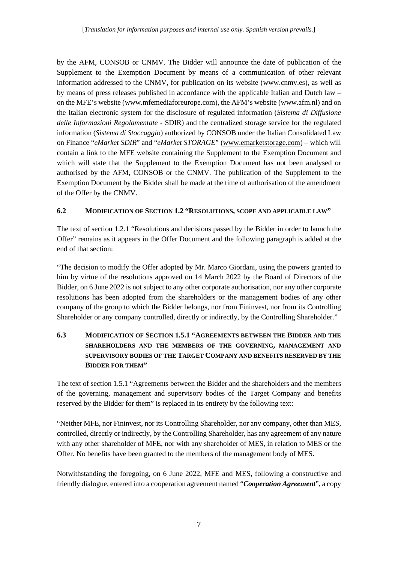by the AFM, CONSOB or CNMV. The Bidder will announce the date of publication of the Supplement to the Exemption Document by means of a communication of other relevant information addressed to the CNMV, for publication on its website (www.cnmv.es), as well as by means of press releases published in accordance with the applicable Italian and Dutch law – on the MFE's website [\(www.mfemediaforeurope.com\)](http://www.mfemediaforeurope.com/), the AFM's website (www.afm.nl) and on the Italian electronic system for the disclosure of regulated information (*Sistema di Diffusione delle Informazioni Regolamentate* - SDIR) and the centralized storage service for the regulated information (*Sistema di Stoccaggio*) authorized by CONSOB under the Italian Consolidated Law on Finance "*eMarket SDIR*" and "*eMarket STORAGE*" [\(www.emarketstorage.com\)](http://www.emarketstorage.com/) – which will contain a link to the MFE website containing the Supplement to the Exemption Document and which will state that the Supplement to the Exemption Document has not been analysed or authorised by the AFM, CONSOB or the CNMV. The publication of the Supplement to the Exemption Document by the Bidder shall be made at the time of authorisation of the amendment of the Offer by the CNMV.

# <span id="page-6-0"></span>**6.2 MODIFICATION OF SECTION 1.2 "RESOLUTIONS, SCOPE AND APPLICABLE LAW"**

The text of section 1.2.1 "Resolutions and decisions passed by the Bidder in order to launch the Offer" remains as it appears in the Offer Document and the following paragraph is added at the end of that section:

"The decision to modify the Offer adopted by Mr. Marco Giordani, using the powers granted to him by virtue of the resolutions approved on 14 March 2022 by the Board of Directors of the Bidder, on 6 June 2022 is not subject to any other corporate authorisation, nor any other corporate resolutions has been adopted from the shareholders or the management bodies of any other company of the group to which the Bidder belongs, nor from Fininvest, nor from its Controlling Shareholder or any company controlled, directly or indirectly, by the Controlling Shareholder."

# <span id="page-6-1"></span>**6.3 MODIFICATION OF SECTION 1.5.1 "AGREEMENTS BETWEEN THE BIDDER AND THE SHAREHOLDERS AND THE MEMBERS OF THE GOVERNING, MANAGEMENT AND SUPERVISORY BODIES OF THE TARGET COMPANY AND BENEFITS RESERVED BY THE BIDDER FOR THEM"**

The text of section 1.5.1 "Agreements between the Bidder and the shareholders and the members of the governing, management and supervisory bodies of the Target Company and benefits reserved by the Bidder for them" is replaced in its entirety by the following text:

"Neither MFE, nor Fininvest, nor its Controlling Shareholder, nor any company, other than MES, controlled, directly or indirectly, by the Controlling Shareholder, has any agreement of any nature with any other shareholder of MFE, nor with any shareholder of MES, in relation to MES or the Offer. No benefits have been granted to the members of the management body of MES.

Notwithstanding the foregoing, on 6 June 2022, MFE and MES, following a constructive and friendly dialogue, entered into a cooperation agreement named "*Cooperation Agreement*", a copy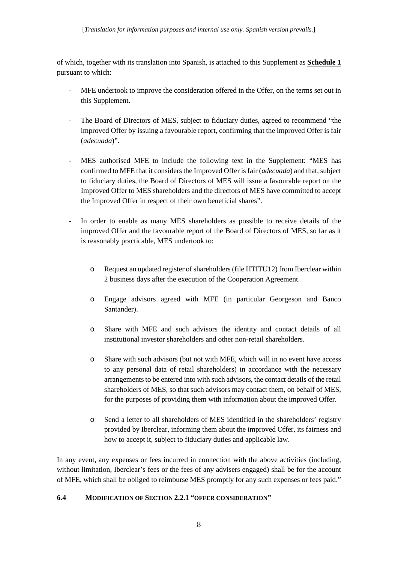of which, together with its translation into Spanish, is attached to this Supplement as **Schedule 1** pursuant to which:

- MFE undertook to improve the consideration offered in the Offer, on the terms set out in this Supplement.
- The Board of Directors of MES, subject to fiduciary duties, agreed to recommend "the improved Offer by issuing a favourable report, confirming that the improved Offer is fair (*adecuada*)".
- MES authorised MFE to include the following text in the Supplement: "MES has confirmed to MFE that it considers the Improved Offer is fair (*adecuada*) and that, subject to fiduciary duties, the Board of Directors of MES will issue a favourable report on the Improved Offer to MES shareholders and the directors of MES have committed to accept the Improved Offer in respect of their own beneficial shares".
- In order to enable as many MES shareholders as possible to receive details of the improved Offer and the favourable report of the Board of Directors of MES, so far as it is reasonably practicable, MES undertook to:
	- o Request an updated register of shareholders (file HTITU12) from Iberclear within 2 business days after the execution of the Cooperation Agreement.
	- o Engage advisors agreed with MFE (in particular Georgeson and Banco Santander).
	- o Share with MFE and such advisors the identity and contact details of all institutional investor shareholders and other non-retail shareholders.
	- o Share with such advisors (but not with MFE, which will in no event have access to any personal data of retail shareholders) in accordance with the necessary arrangements to be entered into with such advisors, the contact details of the retail shareholders of MES, so that such advisors may contact them, on behalf of MES, for the purposes of providing them with information about the improved Offer.
	- o Send a letter to all shareholders of MES identified in the shareholders' registry provided by Iberclear, informing them about the improved Offer, its fairness and how to accept it, subject to fiduciary duties and applicable law.

In any event, any expenses or fees incurred in connection with the above activities (including, without limitation, Iberclear's fees or the fees of any advisers engaged) shall be for the account of MFE, which shall be obliged to reimburse MES promptly for any such expenses or fees paid."

# <span id="page-7-0"></span>**6.4 MODIFICATION OF SECTION 2.2.1 "OFFER CONSIDERATION"**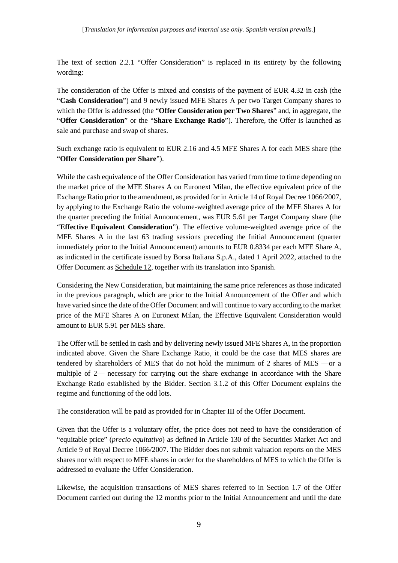The text of section 2.2.1 "Offer Consideration" is replaced in its entirety by the following wording:

The consideration of the Offer is mixed and consists of the payment of EUR 4.32 in cash (the "**Cash Consideration**") and 9 newly issued MFE Shares A per two Target Company shares to which the Offer is addressed (the "**Offer Consideration per Two Shares**" and, in aggregate, the "**Offer Consideration**" or the "**Share Exchange Ratio**"). Therefore, the Offer is launched as sale and purchase and swap of shares.

Such exchange ratio is equivalent to EUR 2.16 and 4.5 MFE Shares A for each MES share (the "**Offer Consideration per Share**").

While the cash equivalence of the Offer Consideration has varied from time to time depending on the market price of the MFE Shares A on Euronext Milan, the effective equivalent price of the Exchange Ratio prior to the amendment, as provided for in Article 14 of Royal Decree 1066/2007, by applying to the Exchange Ratio the volume-weighted average price of the MFE Shares A for the quarter preceding the Initial Announcement, was EUR 5.61 per Target Company share (the "**Effective Equivalent Consideration**"). The effective volume-weighted average price of the MFE Shares A in the last 63 trading sessions preceding the Initial Announcement (quarter immediately prior to the Initial Announcement) amounts to EUR 0.8334 per each MFE Share A, as indicated in the certificate issued by Borsa Italiana S.p.A., dated 1 April 2022, attached to the Offer Document as Schedule 12, together with its translation into Spanish.

Considering the New Consideration, but maintaining the same price references as those indicated in the previous paragraph, which are prior to the Initial Announcement of the Offer and which have varied since the date of the Offer Document and will continue to vary according to the market price of the MFE Shares A on Euronext Milan, the Effective Equivalent Consideration would amount to EUR 5.91 per MES share.

The Offer will be settled in cash and by delivering newly issued MFE Shares A, in the proportion indicated above. Given the Share Exchange Ratio, it could be the case that MES shares are tendered by shareholders of MES that do not hold the minimum of 2 shares of MES —or a multiple of 2— necessary for carrying out the share exchange in accordance with the Share Exchange Ratio established by the Bidder. Section 3.1.2 of this Offer Document explains the regime and functioning of the odd lots.

The consideration will be paid as provided for in Chapter III of the Offer Document.

Given that the Offer is a voluntary offer, the price does not need to have the consideration of "equitable price" (*precio equitativo*) as defined in Article 130 of the Securities Market Act and Article 9 of Royal Decree 1066/2007. The Bidder does not submit valuation reports on the MES shares nor with respect to MFE shares in order for the shareholders of MES to which the Offer is addressed to evaluate the Offer Consideration.

Likewise, the acquisition transactions of MES shares referred to in Section 1.7 of the Offer Document carried out during the 12 months prior to the Initial Announcement and until the date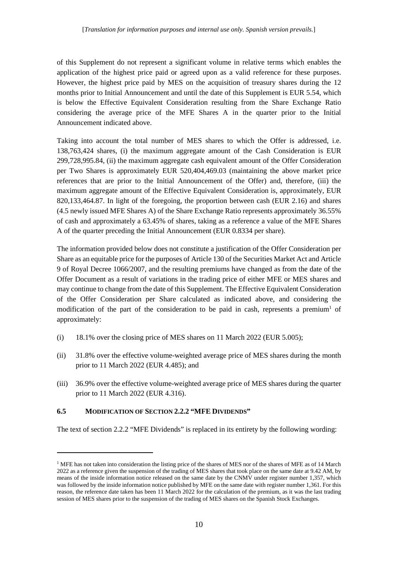of this Supplement do not represent a significant volume in relative terms which enables the application of the highest price paid or agreed upon as a valid reference for these purposes. However, the highest price paid by MES on the acquisition of treasury shares during the 12 months prior to Initial Announcement and until the date of this Supplement is EUR 5.54, which is below the Effective Equivalent Consideration resulting from the Share Exchange Ratio considering the average price of the MFE Shares A in the quarter prior to the Initial Announcement indicated above.

Taking into account the total number of MES shares to which the Offer is addressed, i.e. 138,763,424 shares, (i) the maximum aggregate amount of the Cash Consideration is EUR 299,728,995.84, (ii) the maximum aggregate cash equivalent amount of the Offer Consideration per Two Shares is approximately EUR 520,404,469.03 (maintaining the above market price references that are prior to the Initial Announcement of the Offer) and, therefore, (iii) the maximum aggregate amount of the Effective Equivalent Consideration is, approximately, EUR 820,133,464.87. In light of the foregoing, the proportion between cash (EUR 2.16) and shares (4.5 newly issued MFE Shares A) of the Share Exchange Ratio represents approximately 36.55% of cash and approximately a 63.45% of shares, taking as a reference a value of the MFE Shares A of the quarter preceding the Initial Announcement (EUR 0.8334 per share).

The information provided below does not constitute a justification of the Offer Consideration per Share as an equitable price for the purposes of Article 130 of the Securities Market Act and Article 9 of Royal Decree 1066/2007, and the resulting premiums have changed as from the date of the Offer Document as a result of variations in the trading price of either MFE or MES shares and may continue to change from the date of this Supplement. The Effective Equivalent Consideration of the Offer Consideration per Share calculated as indicated above, and considering the [m](#page-9-1)odification of the part of the consideration to be paid in cash, represents a premium<sup>1</sup> of approximately:

- (i) 18.1% over the closing price of MES shares on 11 March 2022 (EUR 5.005);
- (ii) 31.8% over the effective volume-weighted average price of MES shares during the month prior to 11 March 2022 (EUR 4.485); and
- (iii) 36.9% over the effective volume-weighted average price of MES shares during the quarter prior to 11 March 2022 (EUR 4.316).

#### <span id="page-9-0"></span>**6.5 MODIFICATION OF SECTION 2.2.2 "MFE DIVIDENDS"**

The text of section 2.2.2 "MFE Dividends" is replaced in its entirety by the following wording:

<span id="page-9-1"></span><sup>&</sup>lt;sup>1</sup> MFE has not taken into consideration the listing price of the shares of MES nor of the shares of MFE as of 14 March 2022 as a reference given the suspension of the trading of MES shares that took place on the same date at 9.42 AM, by means of the inside information notice released on the same date by the CNMV under register number 1,357, which was followed by the inside information notice published by MFE on the same date with register number 1,361. For this reason, the reference date taken has been 11 March 2022 for the calculation of the premium, as it was the last trading session of MES shares prior to the suspension of the trading of MES shares on the Spanish Stock Exchanges.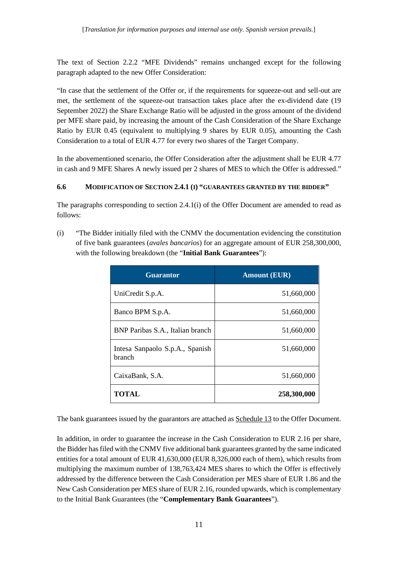The text of Section 2.2.2 "MFE Dividends" remains unchanged except for the following paragraph adapted to the new Offer Consideration:

"In case that the settlement of the Offer or, if the requirements for squeeze-out and sell-out are met, the settlement of the squeeze-out transaction takes place after the ex-dividend date (19 September 2022) the Share Exchange Ratio will be adjusted in the gross amount of the dividend per MFE share paid, by increasing the amount of the Cash Consideration of the Share Exchange Ratio by EUR 0.45 (equivalent to multiplying 9 shares by EUR 0.05), amounting the Cash Consideration to a total of EUR 4.77 for every two shares of the Target Company.

In the abovementioned scenario, the Offer Consideration after the adjustment shall be EUR 4.77 in cash and 9 MFE Shares A newly issued per 2 shares of MES to which the Offer is addressed."

## <span id="page-10-0"></span>**6.6 MODIFICATION OF SECTION 2.4.1 (I) "GUARANTEES GRANTED BY THE BIDDER"**

The paragraphs corresponding to section 2.4.1(i) of the Offer Document are amended to read as follows:

(i) "The Bidder initially filed with the CNMV the documentation evidencing the constitution of five bank guarantees (*avales bancarios*) for an aggregate amount of EUR 258,300,000, with the following breakdown (the "**Initial Bank Guarantees**"):

| <b>Guarantor</b>                          | <b>Amount (EUR)</b> |
|-------------------------------------------|---------------------|
| UniCredit S.p.A.                          | 51,660,000          |
| Banco BPM S.p.A.                          | 51,660,000          |
| BNP Paribas S.A., Italian branch          | 51,660,000          |
| Intesa Sanpaolo S.p.A., Spanish<br>branch | 51,660,000          |
| CaixaBank, S.A.                           | 51,660,000          |
| <b>TOTAL</b>                              | 258,300,000         |

The bank guarantees issued by the guarantors are attached as Schedule 13 to the Offer Document.

In addition, in order to guarantee the increase in the Cash Consideration to EUR 2.16 per share, the Bidder has filed with the CNMV five additional bank guarantees granted by the same indicated entities for a total amount of EUR 41,630,000 (EUR 8,326,000 each of them), which results from multiplying the maximum number of 138,763,424 MES shares to which the Offer is effectively addressed by the difference between the Cash Consideration per MES share of EUR 1.86 and the New Cash Consideration per MES share of EUR 2.16, rounded upwards, which is complementary to the Initial Bank Guarantees (the "**Complementary Bank Guarantees**").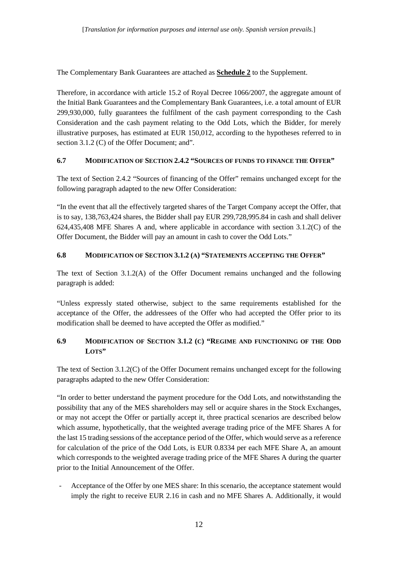The Complementary Bank Guarantees are attached as **Schedule 2** to the Supplement.

Therefore, in accordance with article 15.2 of Royal Decree 1066/2007, the aggregate amount of the Initial Bank Guarantees and the Complementary Bank Guarantees, i.e. a total amount of EUR 299,930,000, fully guarantees the fulfilment of the cash payment corresponding to the Cash Consideration and the cash payment relating to the Odd Lots, which the Bidder, for merely illustrative purposes, has estimated at EUR 150,012, according to the hypotheses referred to in section 3.1.2 (C) of the Offer Document; and".

# <span id="page-11-0"></span>**6.7 MODIFICATION OF SECTION 2.4.2 "SOURCES OF FUNDS TO FINANCE THE OFFER"**

The text of Section 2.4.2 "Sources of financing of the Offer" remains unchanged except for the following paragraph adapted to the new Offer Consideration:

"In the event that all the effectively targeted shares of the Target Company accept the Offer, that is to say, 138,763,424 shares, the Bidder shall pay EUR 299,728,995.84 in cash and shall deliver 624,435,408 MFE Shares A and, where applicable in accordance with section 3.1.2(C) of the Offer Document, the Bidder will pay an amount in cash to cover the Odd Lots."

## <span id="page-11-1"></span>**6.8 MODIFICATION OF SECTION 3.1.2 (A) "STATEMENTS ACCEPTING THE OFFER"**

The text of Section 3.1.2(A) of the Offer Document remains unchanged and the following paragraph is added:

"Unless expressly stated otherwise, subject to the same requirements established for the acceptance of the Offer, the addressees of the Offer who had accepted the Offer prior to its modification shall be deemed to have accepted the Offer as modified."

# <span id="page-11-2"></span>**6.9 MODIFICATION OF SECTION 3.1.2 (C) "REGIME AND FUNCTIONING OF THE ODD LOTS"**

The text of Section 3.1.2(C) of the Offer Document remains unchanged except for the following paragraphs adapted to the new Offer Consideration:

"In order to better understand the payment procedure for the Odd Lots, and notwithstanding the possibility that any of the MES shareholders may sell or acquire shares in the Stock Exchanges, or may not accept the Offer or partially accept it, three practical scenarios are described below which assume, hypothetically, that the weighted average trading price of the MFE Shares A for the last 15 trading sessions of the acceptance period of the Offer, which would serve as a reference for calculation of the price of the Odd Lots, is EUR 0.8334 per each MFE Share A, an amount which corresponds to the weighted average trading price of the MFE Shares A during the quarter prior to the Initial Announcement of the Offer.

Acceptance of the Offer by one MES share: In this scenario, the acceptance statement would imply the right to receive EUR 2.16 in cash and no MFE Shares A. Additionally, it would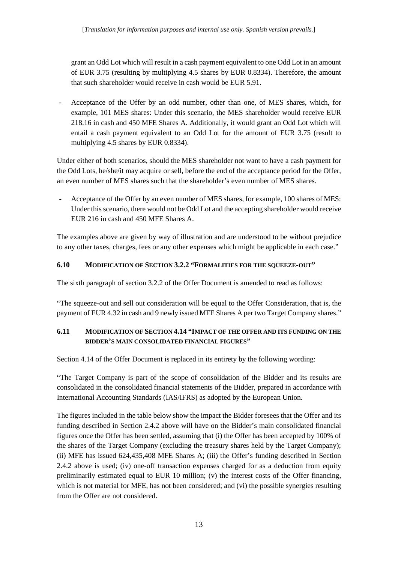grant an Odd Lot which will result in a cash payment equivalent to one Odd Lot in an amount of EUR 3.75 (resulting by multiplying 4.5 shares by EUR 0.8334). Therefore, the amount that such shareholder would receive in cash would be EUR 5.91.

- Acceptance of the Offer by an odd number, other than one, of MES shares, which, for example, 101 MES shares: Under this scenario, the MES shareholder would receive EUR 218.16 in cash and 450 MFE Shares A. Additionally, it would grant an Odd Lot which will entail a cash payment equivalent to an Odd Lot for the amount of EUR 3.75 (result to multiplying 4.5 shares by EUR 0.8334).

Under either of both scenarios, should the MES shareholder not want to have a cash payment for the Odd Lots, he/she/it may acquire or sell, before the end of the acceptance period for the Offer, an even number of MES shares such that the shareholder's even number of MES shares.

- Acceptance of the Offer by an even number of MES shares, for example, 100 shares of MES: Under this scenario, there would not be Odd Lot and the accepting shareholder would receive EUR 216 in cash and 450 MFE Shares A.

The examples above are given by way of illustration and are understood to be without prejudice to any other taxes, charges, fees or any other expenses which might be applicable in each case."

## <span id="page-12-0"></span>**6.10 MODIFICATION OF SECTION 3.2.2 "FORMALITIES FOR THE SQUEEZE-OUT"**

The sixth paragraph of section 3.2.2 of the Offer Document is amended to read as follows:

"The squeeze-out and sell out consideration will be equal to the Offer Consideration, that is, the payment of EUR 4.32 in cash and 9 newly issued MFE Shares A per two Target Company shares."

# <span id="page-12-1"></span>**6.11 MODIFICATION OF SECTION 4.14 "IMPACT OF THE OFFER AND ITS FUNDING ON THE BIDDER'S MAIN CONSOLIDATED FINANCIAL FIGURES"**

Section 4.14 of the Offer Document is replaced in its entirety by the following wording:

"The Target Company is part of the scope of consolidation of the Bidder and its results are consolidated in the consolidated financial statements of the Bidder, prepared in accordance with International Accounting Standards (IAS/IFRS) as adopted by the European Union.

The figures included in the table below show the impact the Bidder foresees that the Offer and its funding described in Section 2.4.2 above will have on the Bidder's main consolidated financial figures once the Offer has been settled, assuming that (i) the Offer has been accepted by 100% of the shares of the Target Company (excluding the treasury shares held by the Target Company); (ii) MFE has issued 624,435,408 MFE Shares A; (iii) the Offer's funding described in Section 2.4.2 above is used; (iv) one-off transaction expenses charged for as a deduction from equity preliminarily estimated equal to EUR 10 million; (v) the interest costs of the Offer financing, which is not material for MFE, has not been considered; and (vi) the possible synergies resulting from the Offer are not considered.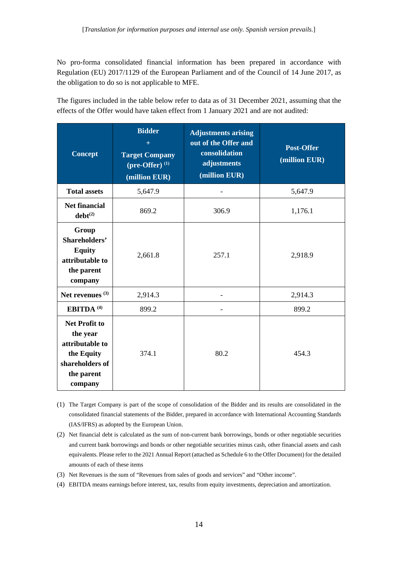No pro-forma consolidated financial information has been prepared in accordance with Regulation (EU) 2017/1129 of the European Parliament and of the Council of 14 June 2017, as the obligation to do so is not applicable to MFE.

The figures included in the table below refer to data as of 31 December 2021, assuming that the effects of the Offer would have taken effect from 1 January 2021 and are not audited:

| <b>Concept</b>                                                                                                | <b>Bidder</b><br>$\pm$<br><b>Target Company</b><br>(pre-Offer) $(1)$<br>(million EUR) | <b>Adjustments arising</b><br>out of the Offer and<br>consolidation<br>adjustments<br>(million EUR) | <b>Post-Offer</b><br>(million EUR) |
|---------------------------------------------------------------------------------------------------------------|---------------------------------------------------------------------------------------|-----------------------------------------------------------------------------------------------------|------------------------------------|
| <b>Total assets</b>                                                                                           | 5,647.9                                                                               |                                                                                                     | 5,647.9                            |
| <b>Net financial</b><br>$debt^{(2)}$                                                                          | 869.2                                                                                 | 306.9                                                                                               | 1,176.1                            |
| Group<br>Shareholders'<br><b>Equity</b><br>attributable to<br>the parent<br>company                           | 2,661.8                                                                               | 257.1                                                                                               | 2,918.9                            |
| Net revenues $(3)$                                                                                            | 2,914.3                                                                               |                                                                                                     | 2,914.3                            |
| EBITDA <sup>(4)</sup>                                                                                         | 899.2                                                                                 |                                                                                                     | 899.2                              |
| <b>Net Profit to</b><br>the year<br>attributable to<br>the Equity<br>shareholders of<br>the parent<br>company | 374.1                                                                                 | 80.2                                                                                                | 454.3                              |

(1) The Target Company is part of the scope of consolidation of the Bidder and its results are consolidated in the consolidated financial statements of the Bidder, prepared in accordance with International Accounting Standards (IAS/IFRS) as adopted by the European Union.

- (2) Net financial debt is calculated as the sum of non-current bank borrowings, bonds or other negotiable securities and current bank borrowings and bonds or other negotiable securities minus cash, other financial assets and cash equivalents. Please refer to the 2021 Annual Report (attached as Schedule 6 to the Offer Document) for the detailed amounts of each of these items
- (3) Net Revenues is the sum of "Revenues from sales of goods and services" and "Other income".
- (4) EBITDA means earnings before interest, tax, results from equity investments, depreciation and amortization.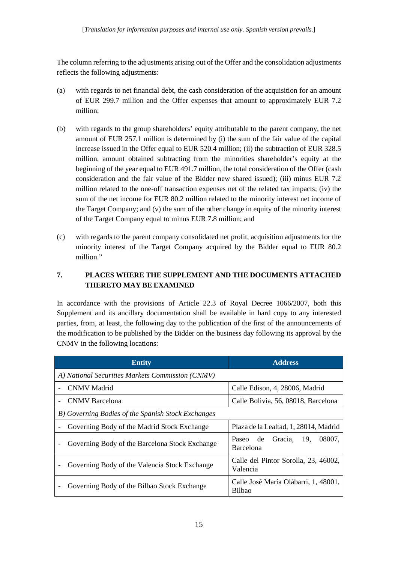The column referring to the adjustments arising out of the Offer and the consolidation adjustments reflects the following adjustments:

- (a) with regards to net financial debt, the cash consideration of the acquisition for an amount of EUR 299.7 million and the Offer expenses that amount to approximately EUR 7.2 million;
- (b) with regards to the group shareholders' equity attributable to the parent company, the net amount of EUR 257.1 million is determined by (i) the sum of the fair value of the capital increase issued in the Offer equal to EUR 520.4 million; (ii) the subtraction of EUR 328.5 million, amount obtained subtracting from the minorities shareholder's equity at the beginning of the year equal to EUR 491.7 million, the total consideration of the Offer (cash consideration and the fair value of the Bidder new shared issued); (iii) minus EUR 7.2 million related to the one-off transaction expenses net of the related tax impacts; (iv) the sum of the net income for EUR 80.2 million related to the minority interest net income of the Target Company; and (v) the sum of the other change in equity of the minority interest of the Target Company equal to minus EUR 7.8 million; and
- (c) with regards to the parent company consolidated net profit, acquisition adjustments for the minority interest of the Target Company acquired by the Bidder equal to EUR 80.2 million."

# <span id="page-14-0"></span>**7. PLACES WHERE THE SUPPLEMENT AND THE DOCUMENTS ATTACHED THERETO MAY BE EXAMINED**

In accordance with the provisions of Article 22.3 of Royal Decree 1066/2007, both this Supplement and its ancillary documentation shall be available in hard copy to any interested parties, from, at least, the following day to the publication of the first of the announcements of the modification to be published by the Bidder on the business day following its approval by the CNMV in the following locations:

| <b>Entity</b>                                      | <b>Address</b>                                        |  |  |  |
|----------------------------------------------------|-------------------------------------------------------|--|--|--|
| A) National Securities Markets Commission (CNMV)   |                                                       |  |  |  |
| <b>CNMV</b> Madrid                                 | Calle Edison, 4, 28006, Madrid                        |  |  |  |
| <b>CNMV</b> Barcelona                              | Calle Bolivia, 56, 08018, Barcelona                   |  |  |  |
| B) Governing Bodies of the Spanish Stock Exchanges |                                                       |  |  |  |
| Governing Body of the Madrid Stock Exchange        | Plaza de la Lealtad, 1, 28014, Madrid                 |  |  |  |
| Governing Body of the Barcelona Stock Exchange     | 19.<br>Paseo de Gracia,<br>08007.<br><b>Barcelona</b> |  |  |  |
| Governing Body of the Valencia Stock Exchange      | Calle del Pintor Sorolla, 23, 46002,<br>Valencia      |  |  |  |
| Governing Body of the Bilbao Stock Exchange        | Calle José María Olábarri, 1, 48001,<br>Bilbao        |  |  |  |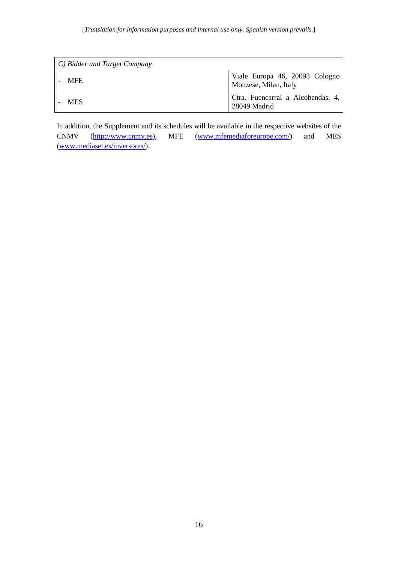| $\mid$ C) Bidder and Target Company |                                                         |  |  |  |
|-------------------------------------|---------------------------------------------------------|--|--|--|
| <b>MFE</b>                          | Viale Europa 46, 20093 Cologno<br>Monzese, Milan, Italy |  |  |  |
| <b>MES</b>                          | Ctra. Fuencarral a Alcobendas, 4,<br>28049 Madrid       |  |  |  |

In addition, the Supplement and its schedules will be available in the respective websites of the CNMV (http://www.cnmv.es), MFE [\(www.mfemediaforeurope.com/\)](https://www.mfemediaforeurope.com/) and MES [\(www.mediaset.es/inversores/\)](http://www.mediaset.es/inversores/).